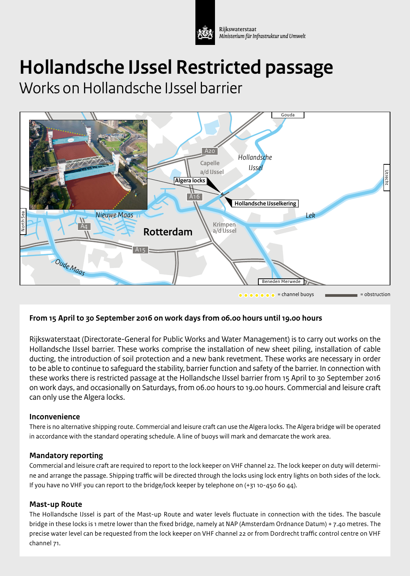

Riikswaterstaat Ministerium für Infrastruktur und Umwelt

# **Hollandsche IJssel Restricted passage**

Works on Hollandsche IJssel barrier



## **From 15 April to 30 September 2016 on work days from 06.00 hours until 19.00 hours** *Wantij* **Haringviet Bromat Andre**

Rijkswaterstaat (Directorate-General for Public Works and Water Management) is to carry out works on the A29 **Dordrecht** Hollandsche IJssel barrier. These works comprise the installation of new sheet piling, installation of cable ducting, the introduction of soil protection and a new bank revetment. These works are necessary in order to be able to continue to safeguard the stability, barrier function and safety of the barrier. In connection with *Dordtsche*  these works there is restricted passage at the Hollandsche IJssel barrier from 15 April to 30 September 2016 on work days, and occasionally on Saturdays, from 06.00 hours to 19.00 hours. Commercial and leisure craft<br>can only use the Algera locks. can only use the Algera locks. *Ruigt of Reugt*

## **Inconvenience**

There is no alternative shipping route. Commercial and leisure craft can use the Algera locks. The Algera bridge will be operated in accordance with the standard operating schedule. A line of buoys will mark and demarcate the work area.

## **Mandatory reporting**

Commercial and leisure craft are required to report to the lock keeper on VHF channel 22. The lock keeper on duty will determine and arrange the passage. Shipping traffic will be directed through the locks using lock entry lights on both sides of the lock. If you have no VHF you can report to the bridge/lock keeper by telephone on (+31 10-450 60 44). A16  $\frac{1}{2}$ 

## **Mast-up Route**

The Hollandsche IJssel is part of the Mast-up Route and water levels fluctuate in connection with the tides. The bascule bridge in these locks is 1 metre lower than the fixed bridge, namely at NAP (Amsterdam Ordnance Datum) + 7.40 metres. The A4 precise water level can be requested from the lock keeper on VHF channel 22 or from Dordrecht traffic control centre on VHF channel 71.